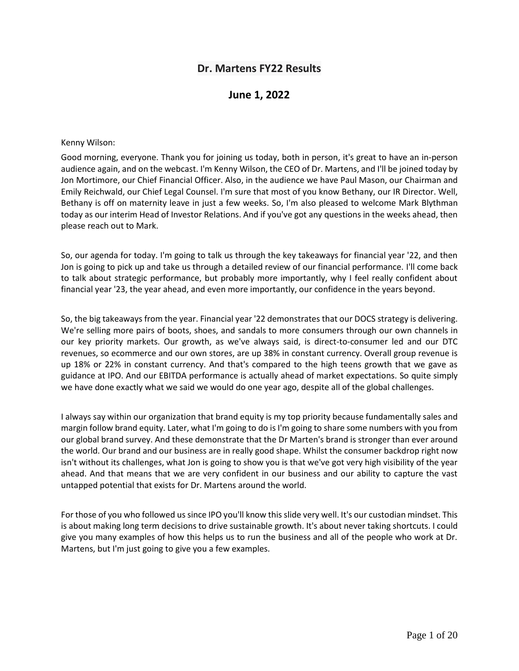# **Dr. Martens FY22 Results**

# **June 1, 2022**

#### Kenny Wilson:

Good morning, everyone. Thank you for joining us today, both in person, it's great to have an in-person audience again, and on the webcast. I'm Kenny Wilson, the CEO of Dr. Martens, and I'll be joined today by Jon Mortimore, our Chief Financial Officer. Also, in the audience we have Paul Mason, our Chairman and Emily Reichwald, our Chief Legal Counsel. I'm sure that most of you know Bethany, our IR Director. Well, Bethany is off on maternity leave in just a few weeks. So, I'm also pleased to welcome Mark Blythman today as our interim Head of Investor Relations. And if you've got any questions in the weeks ahead, then please reach out to Mark.

So, our agenda for today. I'm going to talk us through the key takeaways for financial year '22, and then Jon is going to pick up and take us through a detailed review of our financial performance. I'll come back to talk about strategic performance, but probably more importantly, why I feel really confident about financial year '23, the year ahead, and even more importantly, our confidence in the years beyond.

So, the big takeaways from the year. Financial year '22 demonstrates that our DOCS strategy is delivering. We're selling more pairs of boots, shoes, and sandals to more consumers through our own channels in our key priority markets. Our growth, as we've always said, is direct-to-consumer led and our DTC revenues, so ecommerce and our own stores, are up 38% in constant currency. Overall group revenue is up 18% or 22% in constant currency. And that's compared to the high teens growth that we gave as guidance at IPO. And our EBITDA performance is actually ahead of market expectations. So quite simply we have done exactly what we said we would do one year ago, despite all of the global challenges.

I always say within our organization that brand equity is my top priority because fundamentally sales and margin follow brand equity. Later, what I'm going to do is I'm going to share some numbers with you from our global brand survey. And these demonstrate that the Dr Marten's brand is stronger than ever around the world. Our brand and our business are in really good shape. Whilst the consumer backdrop right now isn't without its challenges, what Jon is going to show you is that we've got very high visibility of the year ahead. And that means that we are very confident in our business and our ability to capture the vast untapped potential that exists for Dr. Martens around the world.

For those of you who followed us since IPO you'll know this slide very well. It's our custodian mindset. This is about making long term decisions to drive sustainable growth. It's about never taking shortcuts. I could give you many examples of how this helps us to run the business and all of the people who work at Dr. Martens, but I'm just going to give you a few examples.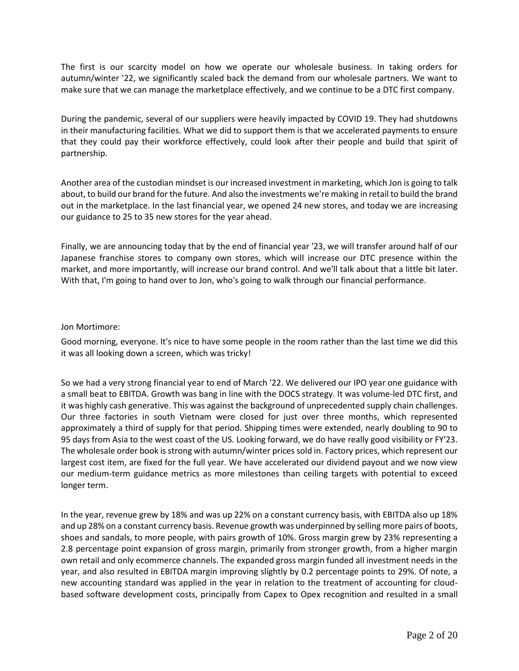The first is our scarcity model on how we operate our wholesale business. In taking orders for autumn/winter '22, we significantly scaled back the demand from our wholesale partners. We want to make sure that we can manage the marketplace effectively, and we continue to be a DTC first company.

During the pandemic, several of our suppliers were heavily impacted by COVID 19. They had shutdowns in their manufacturing facilities. What we did to support them is that we accelerated payments to ensure that they could pay their workforce effectively, could look after their people and build that spirit of partnership.

Another area of the custodian mindset is our increased investment in marketing, which Jon is going to talk about, to build our brand for the future. And also the investments we're making in retail to build the brand out in the marketplace. In the last financial year, we opened 24 new stores, and today we are increasing our guidance to 25 to 35 new stores for the year ahead.

Finally, we are announcing today that by the end of financial year '23, we will transfer around half of our Japanese franchise stores to company own stores, which will increase our DTC presence within the market, and more importantly, will increase our brand control. And we'll talk about that a little bit later. With that, I'm going to hand over to Jon, who's going to walk through our financial performance.

# Jon Mortimore:

Good morning, everyone. It's nice to have some people in the room rather than the last time we did this it was all looking down a screen, which was tricky!

So we had a very strong financial year to end of March '22. We delivered our IPO year one guidance with a small beat to EBITDA. Growth was bang in line with the DOCS strategy. It was volume-led DTC first, and it was highly cash generative. This was against the background of unprecedented supply chain challenges. Our three factories in south Vietnam were closed for just over three months, which represented approximately a third of supply for that period. Shipping times were extended, nearly doubling to 90 to 95 days from Asia to the west coast of the US. Looking forward, we do have really good visibility or FY'23. The wholesale order book is strong with autumn/winter prices sold in. Factory prices, which represent our largest cost item, are fixed for the full year. We have accelerated our dividend payout and we now view our medium-term guidance metrics as more milestones than ceiling targets with potential to exceed longer term.

In the year, revenue grew by 18% and was up 22% on a constant currency basis, with EBITDA also up 18% and up 28% on a constant currency basis. Revenue growth was underpinned by selling more pairs of boots, shoes and sandals, to more people, with pairs growth of 10%. Gross margin grew by 23% representing a 2.8 percentage point expansion of gross margin, primarily from stronger growth, from a higher margin own retail and only ecommerce channels. The expanded gross margin funded all investment needs in the year, and also resulted in EBITDA margin improving slightly by 0.2 percentage points to 29%. Of note, a new accounting standard was applied in the year in relation to the treatment of accounting for cloudbased software development costs, principally from Capex to Opex recognition and resulted in a small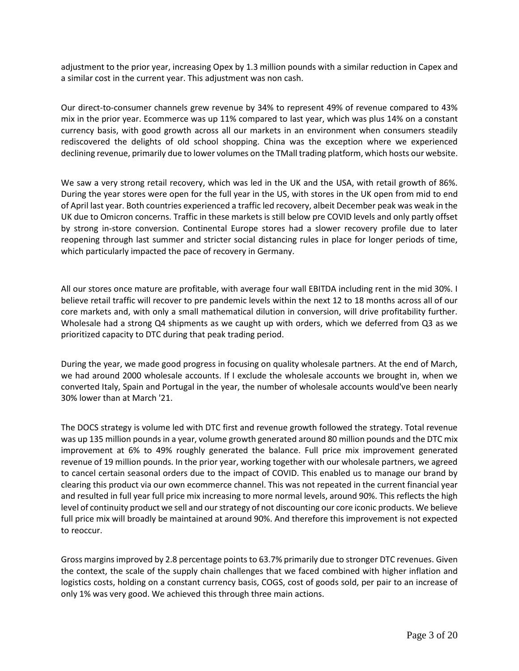adjustment to the prior year, increasing Opex by 1.3 million pounds with a similar reduction in Capex and a similar cost in the current year. This adjustment was non cash.

Our direct-to-consumer channels grew revenue by 34% to represent 49% of revenue compared to 43% mix in the prior year. Ecommerce was up 11% compared to last year, which was plus 14% on a constant currency basis, with good growth across all our markets in an environment when consumers steadily rediscovered the delights of old school shopping. China was the exception where we experienced declining revenue, primarily due to lower volumes on the TMall trading platform, which hosts our website.

We saw a very strong retail recovery, which was led in the UK and the USA, with retail growth of 86%. During the year stores were open for the full year in the US, with stores in the UK open from mid to end of April last year. Both countries experienced a traffic led recovery, albeit December peak was weak in the UK due to Omicron concerns. Traffic in these markets is still below pre COVID levels and only partly offset by strong in-store conversion. Continental Europe stores had a slower recovery profile due to later reopening through last summer and stricter social distancing rules in place for longer periods of time, which particularly impacted the pace of recovery in Germany.

All our stores once mature are profitable, with average four wall EBITDA including rent in the mid 30%. I believe retail traffic will recover to pre pandemic levels within the next 12 to 18 months across all of our core markets and, with only a small mathematical dilution in conversion, will drive profitability further. Wholesale had a strong Q4 shipments as we caught up with orders, which we deferred from Q3 as we prioritized capacity to DTC during that peak trading period.

During the year, we made good progress in focusing on quality wholesale partners. At the end of March, we had around 2000 wholesale accounts. If I exclude the wholesale accounts we brought in, when we converted Italy, Spain and Portugal in the year, the number of wholesale accounts would've been nearly 30% lower than at March '21.

The DOCS strategy is volume led with DTC first and revenue growth followed the strategy. Total revenue was up 135 million pounds in a year, volume growth generated around 80 million pounds and the DTC mix improvement at 6% to 49% roughly generated the balance. Full price mix improvement generated revenue of 19 million pounds. In the prior year, working together with our wholesale partners, we agreed to cancel certain seasonal orders due to the impact of COVID. This enabled us to manage our brand by clearing this product via our own ecommerce channel. This was not repeated in the current financial year and resulted in full year full price mix increasing to more normal levels, around 90%. This reflects the high level of continuity product we sell and our strategy of not discounting our core iconic products. We believe full price mix will broadly be maintained at around 90%. And therefore this improvement is not expected to reoccur.

Gross margins improved by 2.8 percentage points to 63.7% primarily due to stronger DTC revenues. Given the context, the scale of the supply chain challenges that we faced combined with higher inflation and logistics costs, holding on a constant currency basis, COGS, cost of goods sold, per pair to an increase of only 1% was very good. We achieved this through three main actions.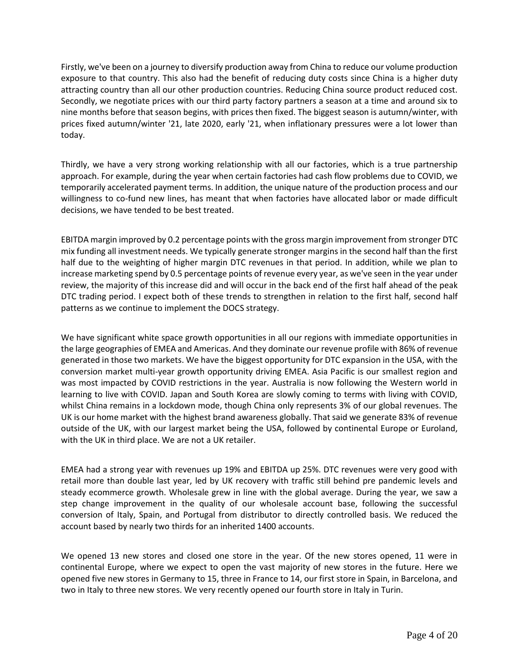Firstly, we've been on a journey to diversify production away from China to reduce our volume production exposure to that country. This also had the benefit of reducing duty costs since China is a higher duty attracting country than all our other production countries. Reducing China source product reduced cost. Secondly, we negotiate prices with our third party factory partners a season at a time and around six to nine months before that season begins, with prices then fixed. The biggest season is autumn/winter, with prices fixed autumn/winter '21, late 2020, early '21, when inflationary pressures were a lot lower than today.

Thirdly, we have a very strong working relationship with all our factories, which is a true partnership approach. For example, during the year when certain factories had cash flow problems due to COVID, we temporarily accelerated payment terms. In addition, the unique nature of the production process and our willingness to co-fund new lines, has meant that when factories have allocated labor or made difficult decisions, we have tended to be best treated.

EBITDA margin improved by 0.2 percentage points with the gross margin improvement from stronger DTC mix funding all investment needs. We typically generate stronger margins in the second half than the first half due to the weighting of higher margin DTC revenues in that period. In addition, while we plan to increase marketing spend by 0.5 percentage points of revenue every year, as we've seen in the year under review, the majority of this increase did and will occur in the back end of the first half ahead of the peak DTC trading period. I expect both of these trends to strengthen in relation to the first half, second half patterns as we continue to implement the DOCS strategy.

We have significant white space growth opportunities in all our regions with immediate opportunities in the large geographies of EMEA and Americas. And they dominate our revenue profile with 86% of revenue generated in those two markets. We have the biggest opportunity for DTC expansion in the USA, with the conversion market multi-year growth opportunity driving EMEA. Asia Pacific is our smallest region and was most impacted by COVID restrictions in the year. Australia is now following the Western world in learning to live with COVID. Japan and South Korea are slowly coming to terms with living with COVID, whilst China remains in a lockdown mode, though China only represents 3% of our global revenues. The UK is our home market with the highest brand awareness globally. That said we generate 83% of revenue outside of the UK, with our largest market being the USA, followed by continental Europe or Euroland, with the UK in third place. We are not a UK retailer.

EMEA had a strong year with revenues up 19% and EBITDA up 25%. DTC revenues were very good with retail more than double last year, led by UK recovery with traffic still behind pre pandemic levels and steady ecommerce growth. Wholesale grew in line with the global average. During the year, we saw a step change improvement in the quality of our wholesale account base, following the successful conversion of Italy, Spain, and Portugal from distributor to directly controlled basis. We reduced the account based by nearly two thirds for an inherited 1400 accounts.

We opened 13 new stores and closed one store in the year. Of the new stores opened, 11 were in continental Europe, where we expect to open the vast majority of new stores in the future. Here we opened five new stores in Germany to 15, three in France to 14, our first store in Spain, in Barcelona, and two in Italy to three new stores. We very recently opened our fourth store in Italy in Turin.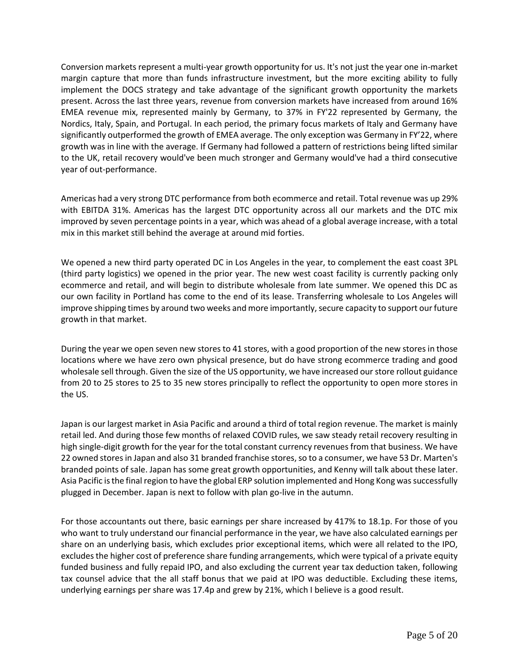Conversion markets represent a multi-year growth opportunity for us. It's not just the year one in-market margin capture that more than funds infrastructure investment, but the more exciting ability to fully implement the DOCS strategy and take advantage of the significant growth opportunity the markets present. Across the last three years, revenue from conversion markets have increased from around 16% EMEA revenue mix, represented mainly by Germany, to 37% in FY'22 represented by Germany, the Nordics, Italy, Spain, and Portugal. In each period, the primary focus markets of Italy and Germany have significantly outperformed the growth of EMEA average. The only exception was Germany in FY'22, where growth was in line with the average. If Germany had followed a pattern of restrictions being lifted similar to the UK, retail recovery would've been much stronger and Germany would've had a third consecutive year of out-performance.

Americas had a very strong DTC performance from both ecommerce and retail. Total revenue was up 29% with EBITDA 31%. Americas has the largest DTC opportunity across all our markets and the DTC mix improved by seven percentage points in a year, which was ahead of a global average increase, with a total mix in this market still behind the average at around mid forties.

We opened a new third party operated DC in Los Angeles in the year, to complement the east coast 3PL (third party logistics) we opened in the prior year. The new west coast facility is currently packing only ecommerce and retail, and will begin to distribute wholesale from late summer. We opened this DC as our own facility in Portland has come to the end of its lease. Transferring wholesale to Los Angeles will improve shipping times by around two weeks and more importantly, secure capacity to support our future growth in that market.

During the year we open seven new stores to 41 stores, with a good proportion of the new stores in those locations where we have zero own physical presence, but do have strong ecommerce trading and good wholesale sell through. Given the size of the US opportunity, we have increased our store rollout guidance from 20 to 25 stores to 25 to 35 new stores principally to reflect the opportunity to open more stores in the US.

Japan is our largest market in Asia Pacific and around a third of total region revenue. The market is mainly retail led. And during those few months of relaxed COVID rules, we saw steady retail recovery resulting in high single-digit growth for the year for the total constant currency revenues from that business. We have 22 owned stores in Japan and also 31 branded franchise stores, so to a consumer, we have 53 Dr. Marten's branded points of sale. Japan has some great growth opportunities, and Kenny will talk about these later. Asia Pacific is the final region to have the global ERP solution implemented and Hong Kong was successfully plugged in December. Japan is next to follow with plan go-live in the autumn.

For those accountants out there, basic earnings per share increased by 417% to 18.1p. For those of you who want to truly understand our financial performance in the year, we have also calculated earnings per share on an underlying basis, which excludes prior exceptional items, which were all related to the IPO, excludes the higher cost of preference share funding arrangements, which were typical of a private equity funded business and fully repaid IPO, and also excluding the current year tax deduction taken, following tax counsel advice that the all staff bonus that we paid at IPO was deductible. Excluding these items, underlying earnings per share was 17.4p and grew by 21%, which I believe is a good result.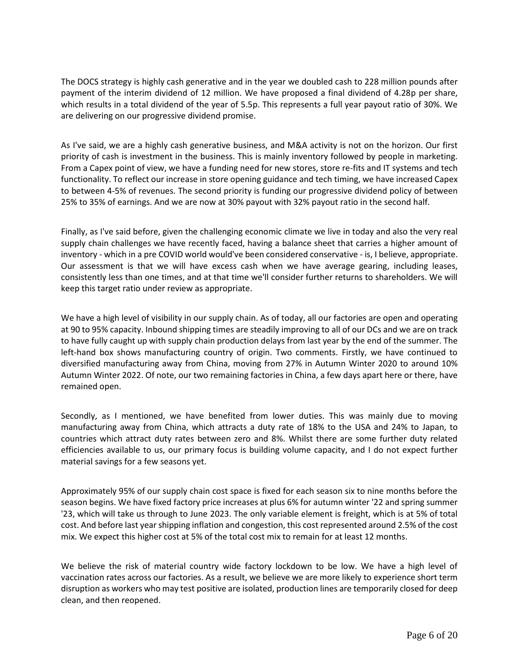The DOCS strategy is highly cash generative and in the year we doubled cash to 228 million pounds after payment of the interim dividend of 12 million. We have proposed a final dividend of 4.28p per share, which results in a total dividend of the year of 5.5p. This represents a full year payout ratio of 30%. We are delivering on our progressive dividend promise.

As I've said, we are a highly cash generative business, and M&A activity is not on the horizon. Our first priority of cash is investment in the business. This is mainly inventory followed by people in marketing. From a Capex point of view, we have a funding need for new stores, store re-fits and IT systems and tech functionality. To reflect our increase in store opening guidance and tech timing, we have increased Capex to between 4-5% of revenues. The second priority is funding our progressive dividend policy of between 25% to 35% of earnings. And we are now at 30% payout with 32% payout ratio in the second half.

Finally, as I've said before, given the challenging economic climate we live in today and also the very real supply chain challenges we have recently faced, having a balance sheet that carries a higher amount of inventory - which in a pre COVID world would've been considered conservative - is, I believe, appropriate. Our assessment is that we will have excess cash when we have average gearing, including leases, consistently less than one times, and at that time we'll consider further returns to shareholders. We will keep this target ratio under review as appropriate.

We have a high level of visibility in our supply chain. As of today, all our factories are open and operating at 90 to 95% capacity. Inbound shipping times are steadily improving to all of our DCs and we are on track to have fully caught up with supply chain production delays from last year by the end of the summer. The left-hand box shows manufacturing country of origin. Two comments. Firstly, we have continued to diversified manufacturing away from China, moving from 27% in Autumn Winter 2020 to around 10% Autumn Winter 2022. Of note, our two remaining factories in China, a few days apart here or there, have remained open.

Secondly, as I mentioned, we have benefited from lower duties. This was mainly due to moving manufacturing away from China, which attracts a duty rate of 18% to the USA and 24% to Japan, to countries which attract duty rates between zero and 8%. Whilst there are some further duty related efficiencies available to us, our primary focus is building volume capacity, and I do not expect further material savings for a few seasons yet.

Approximately 95% of our supply chain cost space is fixed for each season six to nine months before the season begins. We have fixed factory price increases at plus 6% for autumn winter '22 and spring summer '23, which will take us through to June 2023. The only variable element is freight, which is at 5% of total cost. And before last year shipping inflation and congestion, this cost represented around 2.5% of the cost mix. We expect this higher cost at 5% of the total cost mix to remain for at least 12 months.

We believe the risk of material country wide factory lockdown to be low. We have a high level of vaccination rates across our factories. As a result, we believe we are more likely to experience short term disruption as workers who may test positive are isolated, production lines are temporarily closed for deep clean, and then reopened.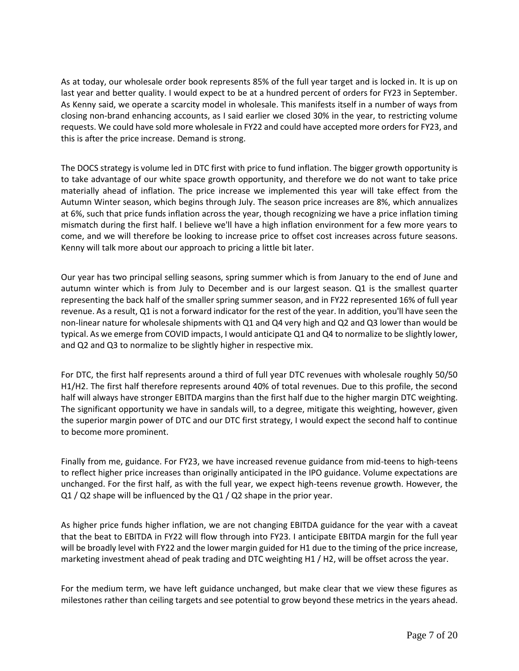As at today, our wholesale order book represents 85% of the full year target and is locked in. It is up on last year and better quality. I would expect to be at a hundred percent of orders for FY23 in September. As Kenny said, we operate a scarcity model in wholesale. This manifests itself in a number of ways from closing non-brand enhancing accounts, as I said earlier we closed 30% in the year, to restricting volume requests. We could have sold more wholesale in FY22 and could have accepted more orders for FY23, and this is after the price increase. Demand is strong.

The DOCS strategy is volume led in DTC first with price to fund inflation. The bigger growth opportunity is to take advantage of our white space growth opportunity, and therefore we do not want to take price materially ahead of inflation. The price increase we implemented this year will take effect from the Autumn Winter season, which begins through July. The season price increases are 8%, which annualizes at 6%, such that price funds inflation across the year, though recognizing we have a price inflation timing mismatch during the first half. I believe we'll have a high inflation environment for a few more years to come, and we will therefore be looking to increase price to offset cost increases across future seasons. Kenny will talk more about our approach to pricing a little bit later.

Our year has two principal selling seasons, spring summer which is from January to the end of June and autumn winter which is from July to December and is our largest season. Q1 is the smallest quarter representing the back half of the smaller spring summer season, and in FY22 represented 16% of full year revenue. As a result, Q1 is not a forward indicator for the rest of the year. In addition, you'll have seen the non-linear nature for wholesale shipments with Q1 and Q4 very high and Q2 and Q3 lower than would be typical. As we emerge from COVID impacts, I would anticipate Q1 and Q4 to normalize to be slightly lower, and Q2 and Q3 to normalize to be slightly higher in respective mix.

For DTC, the first half represents around a third of full year DTC revenues with wholesale roughly 50/50 H1/H2. The first half therefore represents around 40% of total revenues. Due to this profile, the second half will always have stronger EBITDA margins than the first half due to the higher margin DTC weighting. The significant opportunity we have in sandals will, to a degree, mitigate this weighting, however, given the superior margin power of DTC and our DTC first strategy, I would expect the second half to continue to become more prominent.

Finally from me, guidance. For FY23, we have increased revenue guidance from mid-teens to high-teens to reflect higher price increases than originally anticipated in the IPO guidance. Volume expectations are unchanged. For the first half, as with the full year, we expect high-teens revenue growth. However, the Q1 / Q2 shape will be influenced by the Q1 / Q2 shape in the prior year.

As higher price funds higher inflation, we are not changing EBITDA guidance for the year with a caveat that the beat to EBITDA in FY22 will flow through into FY23. I anticipate EBITDA margin for the full year will be broadly level with FY22 and the lower margin guided for H1 due to the timing of the price increase, marketing investment ahead of peak trading and DTC weighting H1 / H2, will be offset across the year.

For the medium term, we have left guidance unchanged, but make clear that we view these figures as milestones rather than ceiling targets and see potential to grow beyond these metrics in the years ahead.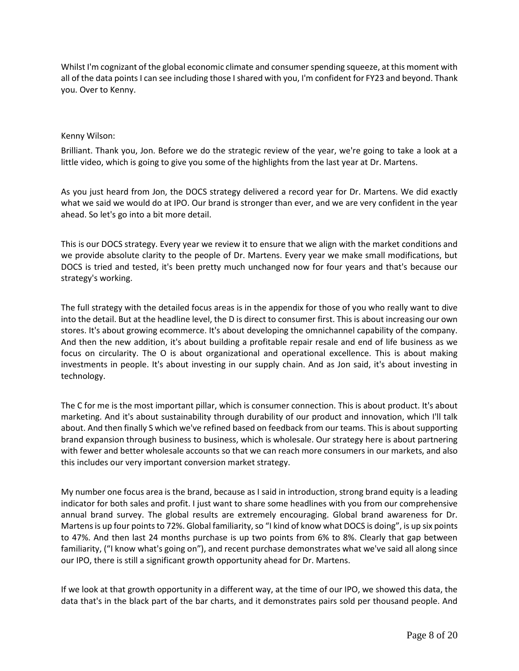Whilst I'm cognizant of the global economic climate and consumer spending squeeze, at this moment with all of the data points I can see including those I shared with you, I'm confident for FY23 and beyond. Thank you. Over to Kenny.

### Kenny Wilson:

Brilliant. Thank you, Jon. Before we do the strategic review of the year, we're going to take a look at a little video, which is going to give you some of the highlights from the last year at Dr. Martens.

As you just heard from Jon, the DOCS strategy delivered a record year for Dr. Martens. We did exactly what we said we would do at IPO. Our brand is stronger than ever, and we are very confident in the year ahead. So let's go into a bit more detail.

This is our DOCS strategy. Every year we review it to ensure that we align with the market conditions and we provide absolute clarity to the people of Dr. Martens. Every year we make small modifications, but DOCS is tried and tested, it's been pretty much unchanged now for four years and that's because our strategy's working.

The full strategy with the detailed focus areas is in the appendix for those of you who really want to dive into the detail. But at the headline level, the D is direct to consumer first. This is about increasing our own stores. It's about growing ecommerce. It's about developing the omnichannel capability of the company. And then the new addition, it's about building a profitable repair resale and end of life business as we focus on circularity. The O is about organizational and operational excellence. This is about making investments in people. It's about investing in our supply chain. And as Jon said, it's about investing in technology.

The C for me is the most important pillar, which is consumer connection. This is about product. It's about marketing. And it's about sustainability through durability of our product and innovation, which I'll talk about. And then finally S which we've refined based on feedback from our teams. This is about supporting brand expansion through business to business, which is wholesale. Our strategy here is about partnering with fewer and better wholesale accounts so that we can reach more consumers in our markets, and also this includes our very important conversion market strategy.

My number one focus area is the brand, because as I said in introduction, strong brand equity is a leading indicator for both sales and profit. I just want to share some headlines with you from our comprehensive annual brand survey. The global results are extremely encouraging. Global brand awareness for Dr. Martens is up four points to 72%. Global familiarity, so "I kind of know what DOCS is doing", is up six points to 47%. And then last 24 months purchase is up two points from 6% to 8%. Clearly that gap between familiarity, ("I know what's going on"), and recent purchase demonstrates what we've said all along since our IPO, there is still a significant growth opportunity ahead for Dr. Martens.

If we look at that growth opportunity in a different way, at the time of our IPO, we showed this data, the data that's in the black part of the bar charts, and it demonstrates pairs sold per thousand people. And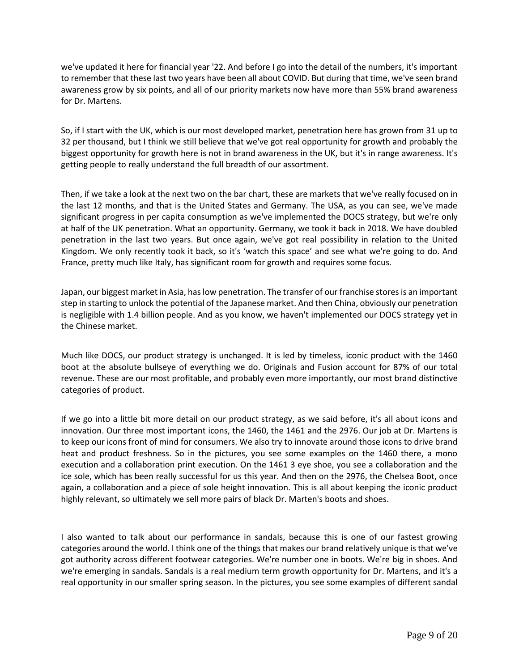we've updated it here for financial year '22. And before I go into the detail of the numbers, it's important to remember that these last two years have been all about COVID. But during that time, we've seen brand awareness grow by six points, and all of our priority markets now have more than 55% brand awareness for Dr. Martens.

So, if I start with the UK, which is our most developed market, penetration here has grown from 31 up to 32 per thousand, but I think we still believe that we've got real opportunity for growth and probably the biggest opportunity for growth here is not in brand awareness in the UK, but it's in range awareness. It's getting people to really understand the full breadth of our assortment.

Then, if we take a look at the next two on the bar chart, these are markets that we've really focused on in the last 12 months, and that is the United States and Germany. The USA, as you can see, we've made significant progress in per capita consumption as we've implemented the DOCS strategy, but we're only at half of the UK penetration. What an opportunity. Germany, we took it back in 2018. We have doubled penetration in the last two years. But once again, we've got real possibility in relation to the United Kingdom. We only recently took it back, so it's 'watch this space' and see what we're going to do. And France, pretty much like Italy, has significant room for growth and requires some focus.

Japan, our biggest market in Asia, has low penetration. The transfer of our franchise stores is an important step in starting to unlock the potential of the Japanese market. And then China, obviously our penetration is negligible with 1.4 billion people. And as you know, we haven't implemented our DOCS strategy yet in the Chinese market.

Much like DOCS, our product strategy is unchanged. It is led by timeless, iconic product with the 1460 boot at the absolute bullseye of everything we do. Originals and Fusion account for 87% of our total revenue. These are our most profitable, and probably even more importantly, our most brand distinctive categories of product.

If we go into a little bit more detail on our product strategy, as we said before, it's all about icons and innovation. Our three most important icons, the 1460, the 1461 and the 2976. Our job at Dr. Martens is to keep our icons front of mind for consumers. We also try to innovate around those icons to drive brand heat and product freshness. So in the pictures, you see some examples on the 1460 there, a mono execution and a collaboration print execution. On the 1461 3 eye shoe, you see a collaboration and the ice sole, which has been really successful for us this year. And then on the 2976, the Chelsea Boot, once again, a collaboration and a piece of sole height innovation. This is all about keeping the iconic product highly relevant, so ultimately we sell more pairs of black Dr. Marten's boots and shoes.

I also wanted to talk about our performance in sandals, because this is one of our fastest growing categories around the world. I think one of the things that makes our brand relatively unique is that we've got authority across different footwear categories. We're number one in boots. We're big in shoes. And we're emerging in sandals. Sandals is a real medium term growth opportunity for Dr. Martens, and it's a real opportunity in our smaller spring season. In the pictures, you see some examples of different sandal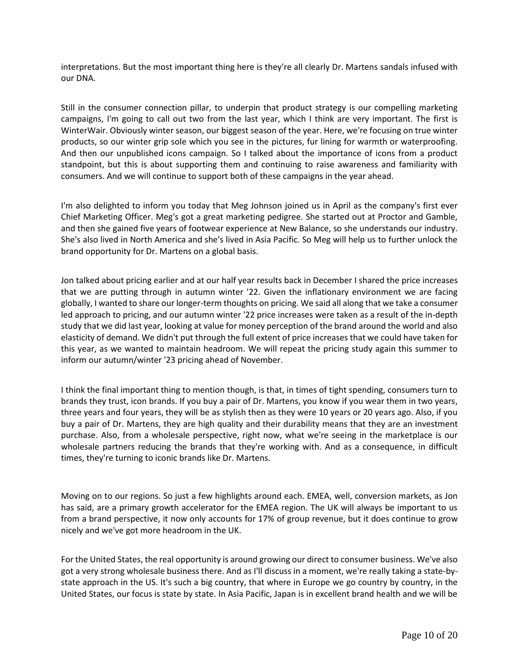interpretations. But the most important thing here is they're all clearly Dr. Martens sandals infused with our DNA.

Still in the consumer connection pillar, to underpin that product strategy is our compelling marketing campaigns, I'm going to call out two from the last year, which I think are very important. The first is WinterWair. Obviously winter season, our biggest season of the year. Here, we're focusing on true winter products, so our winter grip sole which you see in the pictures, fur lining for warmth or waterproofing. And then our unpublished icons campaign. So I talked about the importance of icons from a product standpoint, but this is about supporting them and continuing to raise awareness and familiarity with consumers. And we will continue to support both of these campaigns in the year ahead.

I'm also delighted to inform you today that Meg Johnson joined us in April as the company's first ever Chief Marketing Officer. Meg's got a great marketing pedigree. She started out at Proctor and Gamble, and then she gained five years of footwear experience at New Balance, so she understands our industry. She's also lived in North America and she's lived in Asia Pacific. So Meg will help us to further unlock the brand opportunity for Dr. Martens on a global basis.

Jon talked about pricing earlier and at our half year results back in December I shared the price increases that we are putting through in autumn winter '22. Given the inflationary environment we are facing globally, I wanted to share our longer-term thoughts on pricing. We said all along that we take a consumer led approach to pricing, and our autumn winter '22 price increases were taken as a result of the in-depth study that we did last year, looking at value for money perception of the brand around the world and also elasticity of demand. We didn't put through the full extent of price increases that we could have taken for this year, as we wanted to maintain headroom. We will repeat the pricing study again this summer to inform our autumn/winter '23 pricing ahead of November.

I think the final important thing to mention though, is that, in times of tight spending, consumers turn to brands they trust, icon brands. If you buy a pair of Dr. Martens, you know if you wear them in two years, three years and four years, they will be as stylish then as they were 10 years or 20 years ago. Also, if you buy a pair of Dr. Martens, they are high quality and their durability means that they are an investment purchase. Also, from a wholesale perspective, right now, what we're seeing in the marketplace is our wholesale partners reducing the brands that they're working with. And as a consequence, in difficult times, they're turning to iconic brands like Dr. Martens.

Moving on to our regions. So just a few highlights around each. EMEA, well, conversion markets, as Jon has said, are a primary growth accelerator for the EMEA region. The UK will always be important to us from a brand perspective, it now only accounts for 17% of group revenue, but it does continue to grow nicely and we've got more headroom in the UK.

For the United States, the real opportunity is around growing our direct to consumer business. We've also got a very strong wholesale business there. And as I'll discuss in a moment, we're really taking a state-bystate approach in the US. It's such a big country, that where in Europe we go country by country, in the United States, our focus is state by state. In Asia Pacific, Japan is in excellent brand health and we will be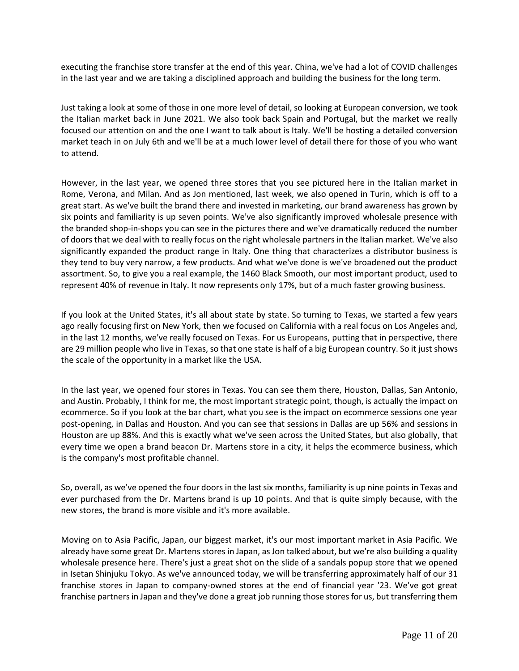executing the franchise store transfer at the end of this year. China, we've had a lot of COVID challenges in the last year and we are taking a disciplined approach and building the business for the long term.

Just taking a look at some of those in one more level of detail, so looking at European conversion, we took the Italian market back in June 2021. We also took back Spain and Portugal, but the market we really focused our attention on and the one I want to talk about is Italy. We'll be hosting a detailed conversion market teach in on July 6th and we'll be at a much lower level of detail there for those of you who want to attend.

However, in the last year, we opened three stores that you see pictured here in the Italian market in Rome, Verona, and Milan. And as Jon mentioned, last week, we also opened in Turin, which is off to a great start. As we've built the brand there and invested in marketing, our brand awareness has grown by six points and familiarity is up seven points. We've also significantly improved wholesale presence with the branded shop-in-shops you can see in the pictures there and we've dramatically reduced the number of doors that we deal with to really focus on the right wholesale partners in the Italian market. We've also significantly expanded the product range in Italy. One thing that characterizes a distributor business is they tend to buy very narrow, a few products. And what we've done is we've broadened out the product assortment. So, to give you a real example, the 1460 Black Smooth, our most important product, used to represent 40% of revenue in Italy. It now represents only 17%, but of a much faster growing business.

If you look at the United States, it's all about state by state. So turning to Texas, we started a few years ago really focusing first on New York, then we focused on California with a real focus on Los Angeles and, in the last 12 months, we've really focused on Texas. For us Europeans, putting that in perspective, there are 29 million people who live in Texas, so that one state is half of a big European country. So it just shows the scale of the opportunity in a market like the USA.

In the last year, we opened four stores in Texas. You can see them there, Houston, Dallas, San Antonio, and Austin. Probably, I think for me, the most important strategic point, though, is actually the impact on ecommerce. So if you look at the bar chart, what you see is the impact on ecommerce sessions one year post-opening, in Dallas and Houston. And you can see that sessions in Dallas are up 56% and sessions in Houston are up 88%. And this is exactly what we've seen across the United States, but also globally, that every time we open a brand beacon Dr. Martens store in a city, it helps the ecommerce business, which is the company's most profitable channel.

So, overall, as we've opened the four doors in the last six months, familiarity is up nine points in Texas and ever purchased from the Dr. Martens brand is up 10 points. And that is quite simply because, with the new stores, the brand is more visible and it's more available.

Moving on to Asia Pacific, Japan, our biggest market, it's our most important market in Asia Pacific. We already have some great Dr. Martens stores in Japan, as Jon talked about, but we're also building a quality wholesale presence here. There's just a great shot on the slide of a sandals popup store that we opened in Isetan Shinjuku Tokyo. As we've announced today, we will be transferring approximately half of our 31 franchise stores in Japan to company-owned stores at the end of financial year '23. We've got great franchise partners in Japan and they've done a great job running those stores for us, but transferring them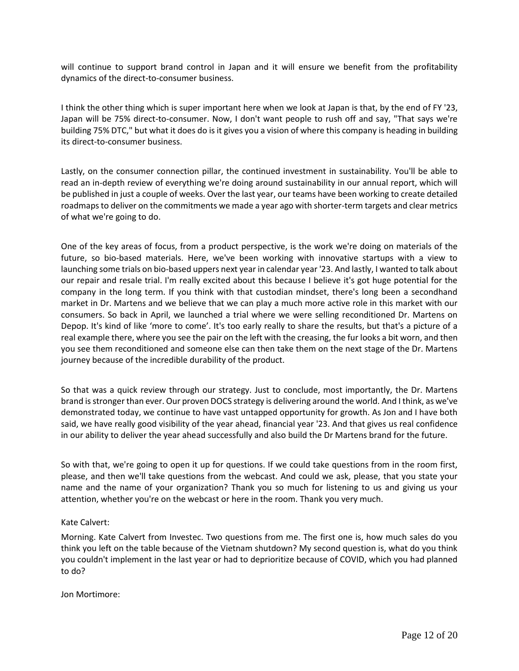will continue to support brand control in Japan and it will ensure we benefit from the profitability dynamics of the direct-to-consumer business.

I think the other thing which is super important here when we look at Japan is that, by the end of FY '23, Japan will be 75% direct-to-consumer. Now, I don't want people to rush off and say, "That says we're building 75% DTC," but what it does do is it gives you a vision of where this company is heading in building its direct-to-consumer business.

Lastly, on the consumer connection pillar, the continued investment in sustainability. You'll be able to read an in-depth review of everything we're doing around sustainability in our annual report, which will be published in just a couple of weeks. Over the last year, our teams have been working to create detailed roadmaps to deliver on the commitments we made a year ago with shorter-term targets and clear metrics of what we're going to do.

One of the key areas of focus, from a product perspective, is the work we're doing on materials of the future, so bio-based materials. Here, we've been working with innovative startups with a view to launching some trials on bio-based uppers next year in calendar year '23. And lastly, I wanted to talk about our repair and resale trial. I'm really excited about this because I believe it's got huge potential for the company in the long term. If you think with that custodian mindset, there's long been a secondhand market in Dr. Martens and we believe that we can play a much more active role in this market with our consumers. So back in April, we launched a trial where we were selling reconditioned Dr. Martens on Depop. It's kind of like 'more to come'. It's too early really to share the results, but that's a picture of a real example there, where you see the pair on the left with the creasing, the fur looks a bit worn, and then you see them reconditioned and someone else can then take them on the next stage of the Dr. Martens journey because of the incredible durability of the product.

So that was a quick review through our strategy. Just to conclude, most importantly, the Dr. Martens brand is stronger than ever. Our proven DOCS strategy is delivering around the world. And I think, as we've demonstrated today, we continue to have vast untapped opportunity for growth. As Jon and I have both said, we have really good visibility of the year ahead, financial year '23. And that gives us real confidence in our ability to deliver the year ahead successfully and also build the Dr Martens brand for the future.

So with that, we're going to open it up for questions. If we could take questions from in the room first, please, and then we'll take questions from the webcast. And could we ask, please, that you state your name and the name of your organization? Thank you so much for listening to us and giving us your attention, whether you're on the webcast or here in the room. Thank you very much.

# Kate Calvert:

Morning. Kate Calvert from Investec. Two questions from me. The first one is, how much sales do you think you left on the table because of the Vietnam shutdown? My second question is, what do you think you couldn't implement in the last year or had to deprioritize because of COVID, which you had planned to do?

Jon Mortimore: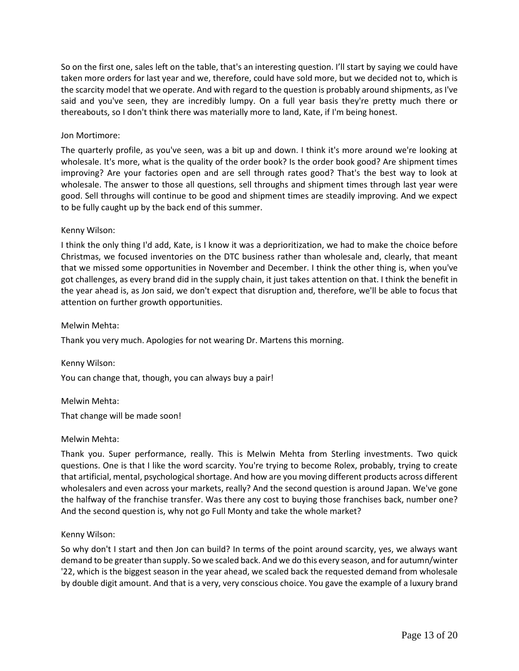So on the first one, sales left on the table, that's an interesting question. I'll start by saying we could have taken more orders for last year and we, therefore, could have sold more, but we decided not to, which is the scarcity model that we operate. And with regard to the question is probably around shipments, as I've said and you've seen, they are incredibly lumpy. On a full year basis they're pretty much there or thereabouts, so I don't think there was materially more to land, Kate, if I'm being honest.

# Jon Mortimore:

The quarterly profile, as you've seen, was a bit up and down. I think it's more around we're looking at wholesale. It's more, what is the quality of the order book? Is the order book good? Are shipment times improving? Are your factories open and are sell through rates good? That's the best way to look at wholesale. The answer to those all questions, sell throughs and shipment times through last year were good. Sell throughs will continue to be good and shipment times are steadily improving. And we expect to be fully caught up by the back end of this summer.

# Kenny Wilson:

I think the only thing I'd add, Kate, is I know it was a deprioritization, we had to make the choice before Christmas, we focused inventories on the DTC business rather than wholesale and, clearly, that meant that we missed some opportunities in November and December. I think the other thing is, when you've got challenges, as every brand did in the supply chain, it just takes attention on that. I think the benefit in the year ahead is, as Jon said, we don't expect that disruption and, therefore, we'll be able to focus that attention on further growth opportunities.

# Melwin Mehta:

Thank you very much. Apologies for not wearing Dr. Martens this morning.

Kenny Wilson: You can change that, though, you can always buy a pair!

Melwin Mehta:

That change will be made soon!

# Melwin Mehta:

Thank you. Super performance, really. This is Melwin Mehta from Sterling investments. Two quick questions. One is that I like the word scarcity. You're trying to become Rolex, probably, trying to create that artificial, mental, psychological shortage. And how are you moving different products across different wholesalers and even across your markets, really? And the second question is around Japan. We've gone the halfway of the franchise transfer. Was there any cost to buying those franchises back, number one? And the second question is, why not go Full Monty and take the whole market?

# Kenny Wilson:

So why don't I start and then Jon can build? In terms of the point around scarcity, yes, we always want demand to be greater than supply. So we scaled back. And we do this every season, and for autumn/winter '22, which is the biggest season in the year ahead, we scaled back the requested demand from wholesale by double digit amount. And that is a very, very conscious choice. You gave the example of a luxury brand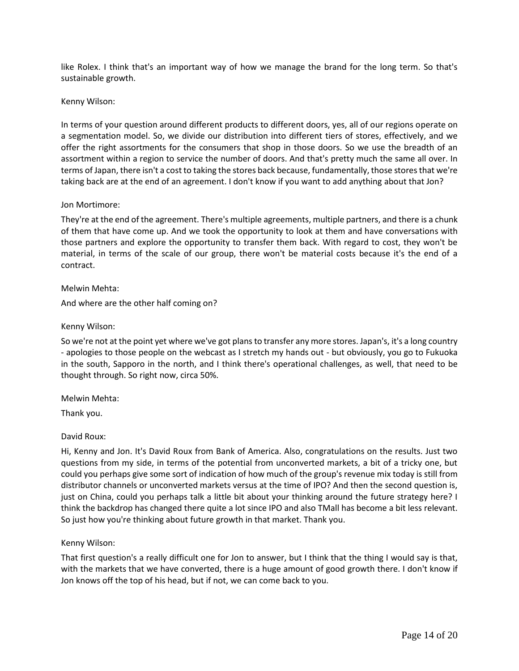like Rolex. I think that's an important way of how we manage the brand for the long term. So that's sustainable growth.

### Kenny Wilson:

In terms of your question around different products to different doors, yes, all of our regions operate on a segmentation model. So, we divide our distribution into different tiers of stores, effectively, and we offer the right assortments for the consumers that shop in those doors. So we use the breadth of an assortment within a region to service the number of doors. And that's pretty much the same all over. In terms of Japan, there isn't a cost to taking the stores back because, fundamentally, those stores that we're taking back are at the end of an agreement. I don't know if you want to add anything about that Jon?

### Jon Mortimore:

They're at the end of the agreement. There's multiple agreements, multiple partners, and there is a chunk of them that have come up. And we took the opportunity to look at them and have conversations with those partners and explore the opportunity to transfer them back. With regard to cost, they won't be material, in terms of the scale of our group, there won't be material costs because it's the end of a contract.

### Melwin Mehta:

And where are the other half coming on?

### Kenny Wilson:

So we're not at the point yet where we've got plans to transfer any more stores. Japan's, it's a long country - apologies to those people on the webcast as I stretch my hands out - but obviously, you go to Fukuoka in the south, Sapporo in the north, and I think there's operational challenges, as well, that need to be thought through. So right now, circa 50%.

Melwin Mehta:

Thank you.

# David Roux:

Hi, Kenny and Jon. It's David Roux from Bank of America. Also, congratulations on the results. Just two questions from my side, in terms of the potential from unconverted markets, a bit of a tricky one, but could you perhaps give some sort of indication of how much of the group's revenue mix today is still from distributor channels or unconverted markets versus at the time of IPO? And then the second question is, just on China, could you perhaps talk a little bit about your thinking around the future strategy here? I think the backdrop has changed there quite a lot since IPO and also TMall has become a bit less relevant. So just how you're thinking about future growth in that market. Thank you.

# Kenny Wilson:

That first question's a really difficult one for Jon to answer, but I think that the thing I would say is that, with the markets that we have converted, there is a huge amount of good growth there. I don't know if Jon knows off the top of his head, but if not, we can come back to you.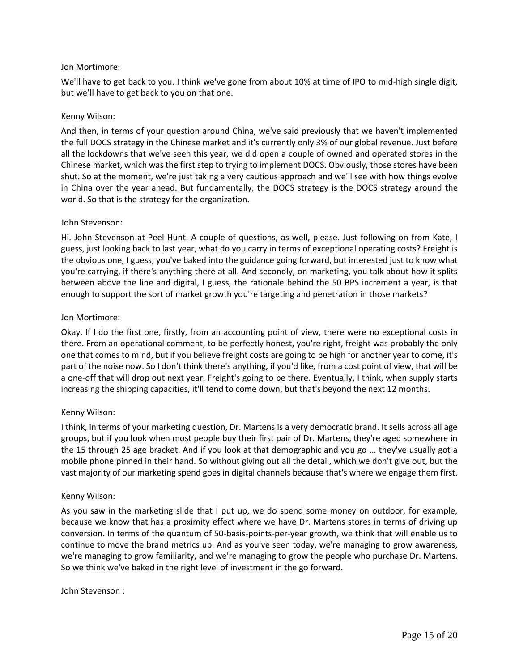### Jon Mortimore:

We'll have to get back to you. I think we've gone from about 10% at time of IPO to mid-high single digit, but we'll have to get back to you on that one.

### Kenny Wilson:

And then, in terms of your question around China, we've said previously that we haven't implemented the full DOCS strategy in the Chinese market and it's currently only 3% of our global revenue. Just before all the lockdowns that we've seen this year, we did open a couple of owned and operated stores in the Chinese market, which was the first step to trying to implement DOCS. Obviously, those stores have been shut. So at the moment, we're just taking a very cautious approach and we'll see with how things evolve in China over the year ahead. But fundamentally, the DOCS strategy is the DOCS strategy around the world. So that is the strategy for the organization.

### John Stevenson:

Hi. John Stevenson at Peel Hunt. A couple of questions, as well, please. Just following on from Kate, I guess, just looking back to last year, what do you carry in terms of exceptional operating costs? Freight is the obvious one, I guess, you've baked into the guidance going forward, but interested just to know what you're carrying, if there's anything there at all. And secondly, on marketing, you talk about how it splits between above the line and digital, I guess, the rationale behind the 50 BPS increment a year, is that enough to support the sort of market growth you're targeting and penetration in those markets?

### Jon Mortimore:

Okay. If I do the first one, firstly, from an accounting point of view, there were no exceptional costs in there. From an operational comment, to be perfectly honest, you're right, freight was probably the only one that comes to mind, but if you believe freight costs are going to be high for another year to come, it's part of the noise now. So I don't think there's anything, if you'd like, from a cost point of view, that will be a one-off that will drop out next year. Freight's going to be there. Eventually, I think, when supply starts increasing the shipping capacities, it'll tend to come down, but that's beyond the next 12 months.

# Kenny Wilson:

I think, in terms of your marketing question, Dr. Martens is a very democratic brand. It sells across all age groups, but if you look when most people buy their first pair of Dr. Martens, they're aged somewhere in the 15 through 25 age bracket. And if you look at that demographic and you go ... they've usually got a mobile phone pinned in their hand. So without giving out all the detail, which we don't give out, but the vast majority of our marketing spend goes in digital channels because that's where we engage them first.

#### Kenny Wilson:

As you saw in the marketing slide that I put up, we do spend some money on outdoor, for example, because we know that has a proximity effect where we have Dr. Martens stores in terms of driving up conversion. In terms of the quantum of 50-basis-points-per-year growth, we think that will enable us to continue to move the brand metrics up. And as you've seen today, we're managing to grow awareness, we're managing to grow familiarity, and we're managing to grow the people who purchase Dr. Martens. So we think we've baked in the right level of investment in the go forward.

John Stevenson :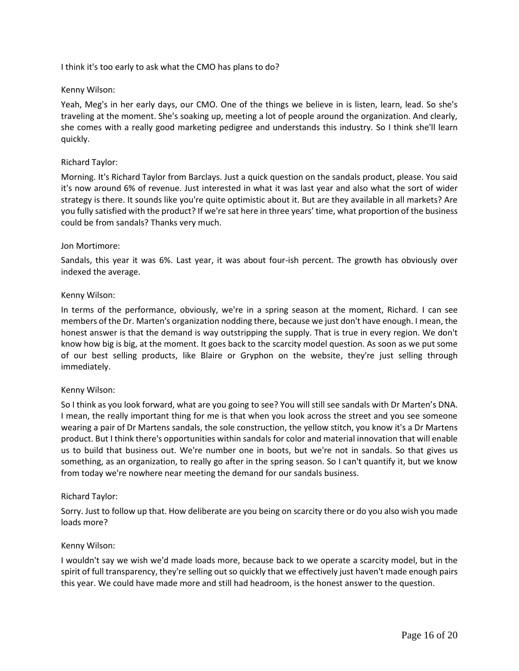I think it's too early to ask what the CMO has plans to do?

### Kenny Wilson:

Yeah, Meg's in her early days, our CMO. One of the things we believe in is listen, learn, lead. So she's traveling at the moment. She's soaking up, meeting a lot of people around the organization. And clearly, she comes with a really good marketing pedigree and understands this industry. So I think she'll learn quickly.

### Richard Taylor:

Morning. It's Richard Taylor from Barclays. Just a quick question on the sandals product, please. You said it's now around 6% of revenue. Just interested in what it was last year and also what the sort of wider strategy is there. It sounds like you're quite optimistic about it. But are they available in all markets? Are you fully satisfied with the product? If we're sat here in three years' time, what proportion of the business could be from sandals? Thanks very much.

#### Jon Mortimore:

Sandals, this year it was 6%. Last year, it was about four-ish percent. The growth has obviously over indexed the average.

### Kenny Wilson:

In terms of the performance, obviously, we're in a spring season at the moment, Richard. I can see members of the Dr. Marten's organization nodding there, because we just don't have enough. I mean, the honest answer is that the demand is way outstripping the supply. That is true in every region. We don't know how big is big, at the moment. It goes back to the scarcity model question. As soon as we put some of our best selling products, like Blaire or Gryphon on the website, they're just selling through immediately.

#### Kenny Wilson:

So I think as you look forward, what are you going to see? You will still see sandals with Dr Marten's DNA. I mean, the really important thing for me is that when you look across the street and you see someone wearing a pair of Dr Martens sandals, the sole construction, the yellow stitch, you know it's a Dr Martens product. But I think there's opportunities within sandals for color and material innovation that will enable us to build that business out. We're number one in boots, but we're not in sandals. So that gives us something, as an organization, to really go after in the spring season. So I can't quantify it, but we know from today we're nowhere near meeting the demand for our sandals business.

#### Richard Taylor:

Sorry. Just to follow up that. How deliberate are you being on scarcity there or do you also wish you made loads more?

#### Kenny Wilson:

I wouldn't say we wish we'd made loads more, because back to we operate a scarcity model, but in the spirit of full transparency, they're selling out so quickly that we effectively just haven't made enough pairs this year. We could have made more and still had headroom, is the honest answer to the question.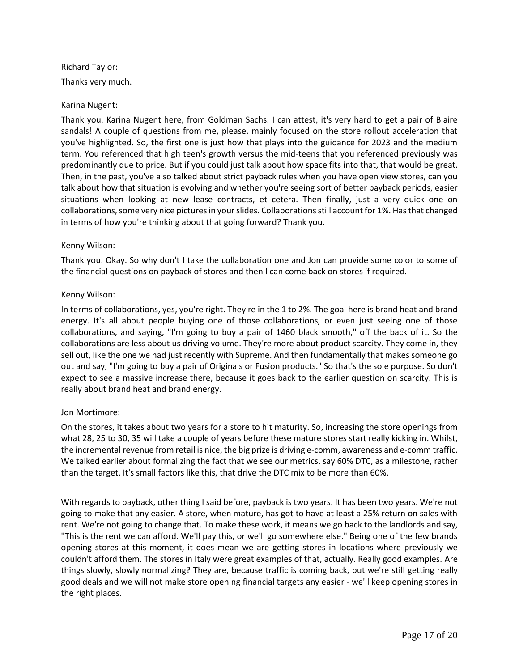Richard Taylor: Thanks very much.

### Karina Nugent:

Thank you. Karina Nugent here, from Goldman Sachs. I can attest, it's very hard to get a pair of Blaire sandals! A couple of questions from me, please, mainly focused on the store rollout acceleration that you've highlighted. So, the first one is just how that plays into the guidance for 2023 and the medium term. You referenced that high teen's growth versus the mid-teens that you referenced previously was predominantly due to price. But if you could just talk about how space fits into that, that would be great. Then, in the past, you've also talked about strict payback rules when you have open view stores, can you talk about how that situation is evolving and whether you're seeing sort of better payback periods, easier situations when looking at new lease contracts, et cetera. Then finally, just a very quick one on collaborations, some very nice pictures in your slides. Collaborations still account for 1%. Has that changed in terms of how you're thinking about that going forward? Thank you.

### Kenny Wilson:

Thank you. Okay. So why don't I take the collaboration one and Jon can provide some color to some of the financial questions on payback of stores and then I can come back on stores if required.

### Kenny Wilson:

In terms of collaborations, yes, you're right. They're in the 1 to 2%. The goal here is brand heat and brand energy. It's all about people buying one of those collaborations, or even just seeing one of those collaborations, and saying, "I'm going to buy a pair of 1460 black smooth," off the back of it. So the collaborations are less about us driving volume. They're more about product scarcity. They come in, they sell out, like the one we had just recently with Supreme. And then fundamentally that makes someone go out and say, "I'm going to buy a pair of Originals or Fusion products." So that's the sole purpose. So don't expect to see a massive increase there, because it goes back to the earlier question on scarcity. This is really about brand heat and brand energy.

# Jon Mortimore:

On the stores, it takes about two years for a store to hit maturity. So, increasing the store openings from what 28, 25 to 30, 35 will take a couple of years before these mature stores start really kicking in. Whilst, the incremental revenue from retail is nice, the big prize is driving e-comm, awareness and e-comm traffic. We talked earlier about formalizing the fact that we see our metrics, say 60% DTC, as a milestone, rather than the target. It's small factors like this, that drive the DTC mix to be more than 60%.

With regards to payback, other thing I said before, payback is two years. It has been two years. We're not going to make that any easier. A store, when mature, has got to have at least a 25% return on sales with rent. We're not going to change that. To make these work, it means we go back to the landlords and say, "This is the rent we can afford. We'll pay this, or we'll go somewhere else." Being one of the few brands opening stores at this moment, it does mean we are getting stores in locations where previously we couldn't afford them. The stores in Italy were great examples of that, actually. Really good examples. Are things slowly, slowly normalizing? They are, because traffic is coming back, but we're still getting really good deals and we will not make store opening financial targets any easier - we'll keep opening stores in the right places.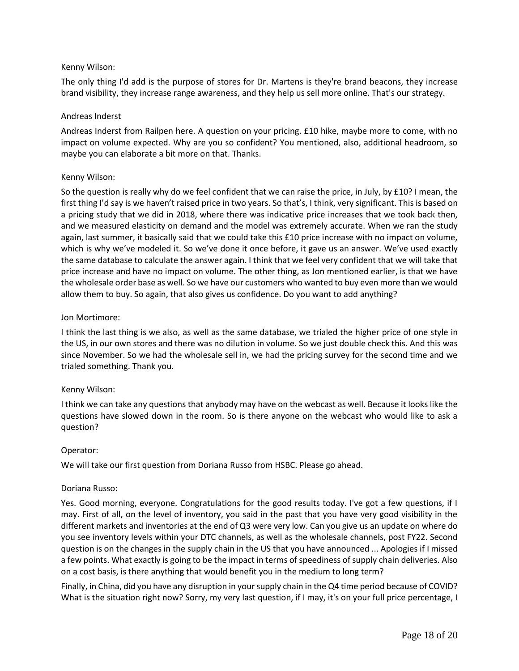# Kenny Wilson:

The only thing I'd add is the purpose of stores for Dr. Martens is they're brand beacons, they increase brand visibility, they increase range awareness, and they help us sell more online. That's our strategy.

### Andreas Inderst

Andreas Inderst from Railpen here. A question on your pricing. £10 hike, maybe more to come, with no impact on volume expected. Why are you so confident? You mentioned, also, additional headroom, so maybe you can elaborate a bit more on that. Thanks.

### Kenny Wilson:

So the question is really why do we feel confident that we can raise the price, in July, by £10? I mean, the first thing I'd say is we haven't raised price in two years. So that's, I think, very significant. This is based on a pricing study that we did in 2018, where there was indicative price increases that we took back then, and we measured elasticity on demand and the model was extremely accurate. When we ran the study again, last summer, it basically said that we could take this £10 price increase with no impact on volume, which is why we've modeled it. So we've done it once before, it gave us an answer. We've used exactly the same database to calculate the answer again. I think that we feel very confident that we will take that price increase and have no impact on volume. The other thing, as Jon mentioned earlier, is that we have the wholesale order base as well. So we have our customers who wanted to buy even more than we would allow them to buy. So again, that also gives us confidence. Do you want to add anything?

### Jon Mortimore:

I think the last thing is we also, as well as the same database, we trialed the higher price of one style in the US, in our own stores and there was no dilution in volume. So we just double check this. And this was since November. So we had the wholesale sell in, we had the pricing survey for the second time and we trialed something. Thank you.

# Kenny Wilson:

I think we can take any questions that anybody may have on the webcast as well. Because it looks like the questions have slowed down in the room. So is there anyone on the webcast who would like to ask a question?

#### Operator:

We will take our first question from Doriana Russo from HSBC. Please go ahead.

# Doriana Russo:

Yes. Good morning, everyone. Congratulations for the good results today. I've got a few questions, if I may. First of all, on the level of inventory, you said in the past that you have very good visibility in the different markets and inventories at the end of Q3 were very low. Can you give us an update on where do you see inventory levels within your DTC channels, as well as the wholesale channels, post FY22. Second question is on the changes in the supply chain in the US that you have announced ... Apologies if I missed a few points. What exactly is going to be the impact in terms of speediness of supply chain deliveries. Also on a cost basis, is there anything that would benefit you in the medium to long term?

Finally, in China, did you have any disruption in your supply chain in the Q4 time period because of COVID? What is the situation right now? Sorry, my very last question, if I may, it's on your full price percentage, I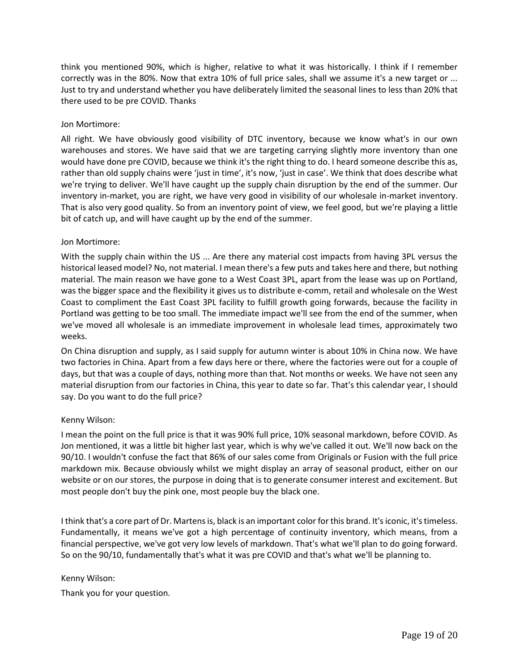think you mentioned 90%, which is higher, relative to what it was historically. I think if I remember correctly was in the 80%. Now that extra 10% of full price sales, shall we assume it's a new target or ... Just to try and understand whether you have deliberately limited the seasonal lines to less than 20% that there used to be pre COVID. Thanks

# Jon Mortimore:

All right. We have obviously good visibility of DTC inventory, because we know what's in our own warehouses and stores. We have said that we are targeting carrying slightly more inventory than one would have done pre COVID, because we think it's the right thing to do. I heard someone describe this as, rather than old supply chains were 'just in time', it's now, 'just in case'. We think that does describe what we're trying to deliver. We'll have caught up the supply chain disruption by the end of the summer. Our inventory in-market, you are right, we have very good in visibility of our wholesale in-market inventory. That is also very good quality. So from an inventory point of view, we feel good, but we're playing a little bit of catch up, and will have caught up by the end of the summer.

### Jon Mortimore:

With the supply chain within the US ... Are there any material cost impacts from having 3PL versus the historical leased model? No, not material. I mean there's a few puts and takes here and there, but nothing material. The main reason we have gone to a West Coast 3PL, apart from the lease was up on Portland, was the bigger space and the flexibility it gives us to distribute e-comm, retail and wholesale on the West Coast to compliment the East Coast 3PL facility to fulfill growth going forwards, because the facility in Portland was getting to be too small. The immediate impact we'll see from the end of the summer, when we've moved all wholesale is an immediate improvement in wholesale lead times, approximately two weeks.

On China disruption and supply, as I said supply for autumn winter is about 10% in China now. We have two factories in China. Apart from a few days here or there, where the factories were out for a couple of days, but that was a couple of days, nothing more than that. Not months or weeks. We have not seen any material disruption from our factories in China, this year to date so far. That's this calendar year, I should say. Do you want to do the full price?

# Kenny Wilson:

I mean the point on the full price is that it was 90% full price, 10% seasonal markdown, before COVID. As Jon mentioned, it was a little bit higher last year, which is why we've called it out. We'll now back on the 90/10. I wouldn't confuse the fact that 86% of our sales come from Originals or Fusion with the full price markdown mix. Because obviously whilst we might display an array of seasonal product, either on our website or on our stores, the purpose in doing that is to generate consumer interest and excitement. But most people don't buy the pink one, most people buy the black one.

I think that's a core part of Dr. Martens is, black is an important color for this brand. It's iconic, it's timeless. Fundamentally, it means we've got a high percentage of continuity inventory, which means, from a financial perspective, we've got very low levels of markdown. That's what we'll plan to do going forward. So on the 90/10, fundamentally that's what it was pre COVID and that's what we'll be planning to.

# Kenny Wilson:

Thank you for your question.